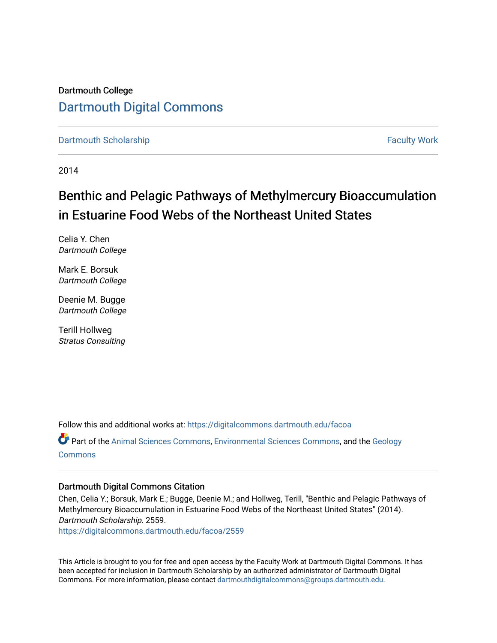## Dartmouth College [Dartmouth Digital Commons](https://digitalcommons.dartmouth.edu/)

[Dartmouth Scholarship](https://digitalcommons.dartmouth.edu/facoa) [Faculty Work](https://digitalcommons.dartmouth.edu/faculty) and The Basic Scholarship Faculty Work Faculty Work

2014

## Benthic and Pelagic Pathways of Methylmercury Bioaccumulation in Estuarine Food Webs of the Northeast United States

Celia Y. Chen Dartmouth College

Mark E. Borsuk Dartmouth College

Deenie M. Bugge Dartmouth College

Terill Hollweg Stratus Consulting

Follow this and additional works at: [https://digitalcommons.dartmouth.edu/facoa](https://digitalcommons.dartmouth.edu/facoa?utm_source=digitalcommons.dartmouth.edu%2Ffacoa%2F2559&utm_medium=PDF&utm_campaign=PDFCoverPages)

Part of the [Animal Sciences Commons,](http://network.bepress.com/hgg/discipline/76?utm_source=digitalcommons.dartmouth.edu%2Ffacoa%2F2559&utm_medium=PDF&utm_campaign=PDFCoverPages) [Environmental Sciences Commons,](http://network.bepress.com/hgg/discipline/167?utm_source=digitalcommons.dartmouth.edu%2Ffacoa%2F2559&utm_medium=PDF&utm_campaign=PDFCoverPages) and the [Geology](http://network.bepress.com/hgg/discipline/156?utm_source=digitalcommons.dartmouth.edu%2Ffacoa%2F2559&utm_medium=PDF&utm_campaign=PDFCoverPages) **[Commons](http://network.bepress.com/hgg/discipline/156?utm_source=digitalcommons.dartmouth.edu%2Ffacoa%2F2559&utm_medium=PDF&utm_campaign=PDFCoverPages)** 

### Dartmouth Digital Commons Citation

Chen, Celia Y.; Borsuk, Mark E.; Bugge, Deenie M.; and Hollweg, Terill, "Benthic and Pelagic Pathways of Methylmercury Bioaccumulation in Estuarine Food Webs of the Northeast United States" (2014). Dartmouth Scholarship. 2559.

[https://digitalcommons.dartmouth.edu/facoa/2559](https://digitalcommons.dartmouth.edu/facoa/2559?utm_source=digitalcommons.dartmouth.edu%2Ffacoa%2F2559&utm_medium=PDF&utm_campaign=PDFCoverPages) 

This Article is brought to you for free and open access by the Faculty Work at Dartmouth Digital Commons. It has been accepted for inclusion in Dartmouth Scholarship by an authorized administrator of Dartmouth Digital Commons. For more information, please contact [dartmouthdigitalcommons@groups.dartmouth.edu](mailto:dartmouthdigitalcommons@groups.dartmouth.edu).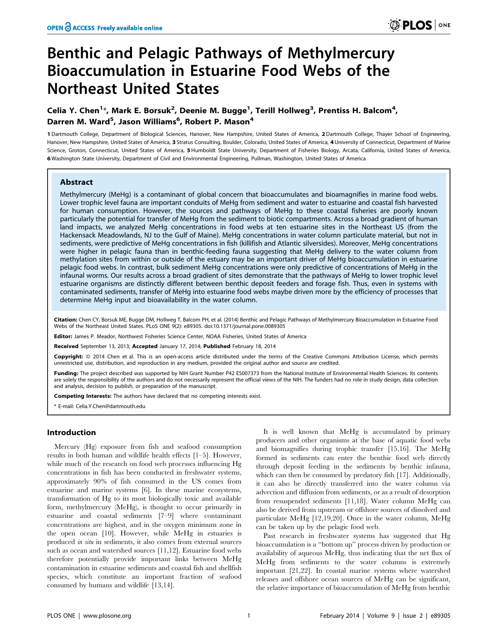# Benthic and Pelagic Pathways of Methylmercury Bioaccumulation in Estuarine Food Webs of the Northeast United States

## Celia Y. Chen $^{1\ast}$ , Mark E. Borsuk $^{2}$ , Deenie M. Bugge $^{1}$ , Terill Hollweg $^{3}$ , Prentiss H. Balcom $^{4}$ , Darren M. Ward<sup>5</sup>, Jason Williams<sup>6</sup>, Robert P. Mason<sup>4</sup>

1 Dartmouth College, Department of Biological Sciences, Hanover, New Hampshire, United States of America, 2 Dartmouth College, Thayer School of Engineering, Hanover, New Hampshire, United States of America, 3 Stratus Consulting, Boulder, Colorado, United States of America, 4 University of Connecticut, Department of Marine Science, Groton, Connecticut, United States of America, 5Humboldt State University, Department of Fisheries Biology, Arcata, California, United States of America, 6 Washington State University, Department of Civil and Environmental Engineering, Pullman, Washington, United States of America

#### Abstract

Methylmercury (MeHg) is a contaminant of global concern that bioaccumulates and bioamagnifies in marine food webs. Lower trophic level fauna are important conduits of MeHg from sediment and water to estuarine and coastal fish harvested for human consumption. However, the sources and pathways of MeHg to these coastal fisheries are poorly known particularly the potential for transfer of MeHg from the sediment to biotic compartments. Across a broad gradient of human land impacts, we analyzed MeHg concentrations in food webs at ten estuarine sites in the Northeast US (from the Hackensack Meadowlands, NJ to the Gulf of Maine). MeHg concentrations in water column particulate material, but not in sediments, were predictive of MeHg concentrations in fish (killifish and Atlantic silversides). Moreover, MeHg concentrations were higher in pelagic fauna than in benthic-feeding fauna suggesting that MeHg delivery to the water column from methylation sites from within or outside of the estuary may be an important driver of MeHg bioaccumulation in estuarine pelagic food webs. In contrast, bulk sediment MeHg concentrations were only predictive of concentrations of MeHg in the infaunal worms. Our results across a broad gradient of sites demonstrate that the pathways of MeHg to lower trophic level estuarine organisms are distinctly different between benthic deposit feeders and forage fish. Thus, even in systems with contaminated sediments, transfer of MeHg into estuarine food webs maybe driven more by the efficiency of processes that determine MeHg input and bioavailability in the water column.

Citation: Chen CY, Borsuk ME, Bugge DM, Hollweg T, Balcom PH, et al. (2014) Benthic and Pelagic Pathways of Methylmercury Bioaccumulation in Estuarine Food Webs of the Northeast United States. PLoS ONE 9(2): e89305. doi:10.1371/journal.pone.0089305

Editor: James P. Meador, Northwest Fisheries Science Center, NOAA Fisheries, United States of America

Received September 13, 2013; Accepted January 17, 2014; Published February 18, 2014

Copyright: © 2014 Chen et al. This is an open-access article distributed under the terms of the [Creative Commons Attribution License,](http://creativecommons.org/licenses/by/4.0/) which permits unrestricted use, distribution, and reproduction in any medium, provided the original author and source are credited.

Funding: The project described was supported by NIH Grant Number P42 ES007373 from the National Institute of Environmental Health Sciences. Its contents are solely the responsibility of the authors and do not necessarily represent the official views of the NIH. The funders had no role in study design, data collection and analysis, decision to publish, or preparation of the manuscript.

Competing Interests: The authors have declared that no competing interests exist.

\* E-mail: Celia.Y.Chen@dartmouth.edu

#### Introduction

Mercury (Hg) exposure from fish and seafood consumption results in both human and wildlife health effects [1–5]. However, while much of the research on food web processes influencing Hg concentrations in fish has been conducted in freshwater systems, approximately 90% of fish consumed in the US comes from estuarine and marine systems [6]. In these marine ecosystems, transformation of Hg to its most biologically toxic and available form, methylmercury (MeHg), is thought to occur primarily in estuarine and coastal sediments [7–9] where contaminant concentrations are highest, and in the oxygen minimum zone in the open ocean [10]. However, while MeHg in estuaries is produced in situ in sediments, it also comes from external sources such as ocean and watershed sources [11,12]. Estuarine food webs therefore potentially provide important links between MeHg contamination in estuarine sediments and coastal fish and shellfish species, which constitute an important fraction of seafood consumed by humans and wildlife [13,14].

It is well known that MeHg is accumulated by primary producers and other organisms at the base of aquatic food webs and biomagnifies during trophic transfer [15,16]. The MeHg formed in sediments can enter the benthic food web directly through deposit feeding in the sediments by benthic infauna, which can then be consumed by predatory fish [17]. Additionally, it can also be directly transferred into the water column via advection and diffusion from sediments, or as a result of desorption from resuspended sediments [11,18]. Water column MeHg can also be derived from upstream or offshore sources of dissolved and particulate MeHg [12,19,20]. Once in the water column, MeHg can be taken up by the pelagic food web.

Past research in freshwater systems has suggested that Hg bioaccumulation is a ''bottom up'' process driven by production or availability of aqueous MeHg, thus indicating that the net flux of MeHg from sediments to the water columns is extremely important [21,22]. In coastal marine systems where watershed releases and offshore ocean sources of MeHg can be significant, the relative importance of bioaccumulation of MeHg from benthic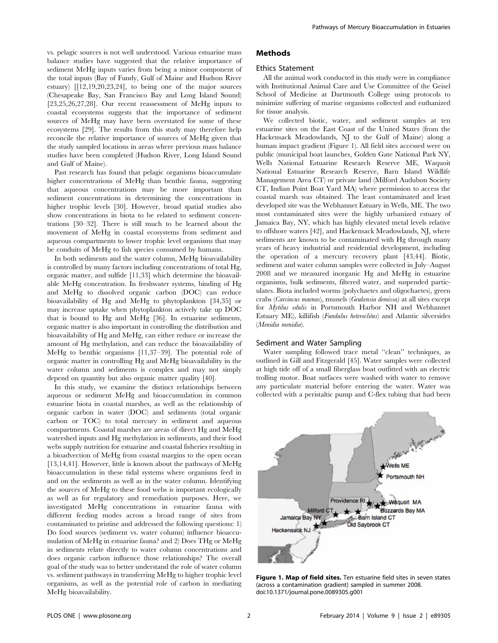vs. pelagic sources is not well understood. Various estuarine mass balance studies have suggested that the relative importance of sediment MeHg inputs varies from being a minor component of the total inputs (Bay of Fundy, Gulf of Maine and Hudson River estuary) [[12,19,20,23,24], to being one of the major sources (Chesapeake Bay, San Francisco Bay and Long Island Sound) [23,25,26,27,28]. Our recent reassessment of MeHg inputs to coastal ecosystems suggests that the importance of sediment sources of MeHg may have been overstated for some of these ecosystems [29]. The results from this study may therefore help reconcile the relative importance of sources of MeHg given that the study sampled locations in areas where previous mass balance studies have been completed (Hudson River, Long Island Sound and Gulf of Maine).

Past research has found that pelagic organisms bioaccumulate higher concentrations of MeHg than benthic fauna, suggesting that aqueous concentrations may be more important than sediment concentrations in determining the concentrations in higher trophic levels [30]. However, broad spatial studies also show concentrations in biota to be related to sediment concentrations [30–32]. There is still much to be learned about the movement of MeHg in coastal ecosystems from sediment and aqueous compartments to lower trophic level organisms that may be conduits of MeHg to fish species consumed by humans.

In both sediments and the water column, MeHg bioavailability is controlled by many factors including concentrations of total Hg, organic matter, and sulfide [11,33] which determine the bioavailable MeHg concentration. In freshwater systems, binding of Hg and MeHg to dissolved organic carbon (DOC) can reduce bioavailability of Hg and MeHg to phytoplankton [34,35] or may increase uptake when phytoplankton actively take up DOC that is bound to Hg and MeHg [36]. In estuarine sediments, organic matter is also important in controlling the distribution and bioavailability of Hg and MeHg, can either reduce or increase the amount of Hg methylation, and can reduce the bioavailability of MeHg to benthic organisms [11,37–39]. The potential role of organic matter in controlling Hg and MeHg bioavailability in the water column and sediments is complex and may not simply depend on quantity but also organic matter quality [40].

In this study, we examine the distinct relationships between aqueous or sediment MeHg and bioaccumulation in common estuarine biota in coastal marshes, as well as the relationship of organic carbon in water (DOC) and sediments (total organic carbon or TOC) to total mercury in sediment and aqueous compartments. Coastal marshes are areas of direct Hg and MeHg watershed inputs and Hg methylation in sediments, and their food webs supply nutrition for estuarine and coastal fisheries resulting in a bioadvection of MeHg from coastal margins to the open ocean [13,14,41]. However, little is known about the pathways of MeHg bioaccumulation in these tidal systems where organisms feed in and on the sediments as well as in the water column. Identifying the sources of MeHg to these food webs is important ecologically as well as for regulatory and remediation purposes. Here, we investigated MeHg concentrations in estuarine fauna with different feeding modes across a broad range of sites from contaminated to pristine and addressed the following questions: 1) Do food sources (sediment vs. water column) influence bioaccumulation of MeHg in estuarine fauna? and 2) Does THg or MeHg in sediments relate directly to water column concentrations and does organic carbon influence those relationships? The overall goal of the study was to better understand the role of water column vs. sediment pathways in transferring MeHg to higher trophic level organisms, as well as the potential role of carbon in mediating MeHg bioavailability.

#### Methods

#### Ethics Statement

All the animal work conducted in this study were in compliance with Institutional Animal Care and Use Committee of the Geisel School of Medicine at Dartmouth College using protocols to minimize suffering of marine organisms collected and euthanized for tissue analysis.

We collected biotic, water, and sediment samples at ten estuarine sites on the East Coast of the United States (from the Hackensack Meadowlands, NJ to the Gulf of Maine) along a human impact gradient (Figure 1). All field sites accessed were on public (municipal boat launches, Golden Gate National Park NY, Wells National Estuarine Research Reserve ME, Waquoit National Estuarine Research Reserve, Barn Island Wildlife Management Area CT) or private land (Milford Audubon Society CT, Indian Point Boat Yard MA) where permission to access the coastal marsh was obtained. The least contaminated and least developed site was the Webhannet Estuary in Wells, ME. The two most contaminated sites were the highly urbanized estuary of Jamaica Bay, NY, which has highly elevated metal levels relative to offshore waters [42], and Hackensack Meadowlands, NJ, where sediments are known to be contaminated with Hg through many years of heavy industrial and residential development, including the operation of a mercury recovery plant [43,44]. Biotic, sediment and water column samples were collected in July–August 2008 and we measured inorganic Hg and MeHg in estuarine organisms, bulk sediments, filtered water, and suspended particulates. Biota included worms (polychaetes and oligochaetes), green crabs (Carcincus maenas), mussels (Geukensia demissa) at all sites except for Mytilus edulis in Portsmouth Harbor NH and Webhannet Estuary ME), killifish (Fundulus heteroclitus) and Atlantic silversides (Menidia menidia).

#### Sediment and Water Sampling

Water sampling followed trace metal ''clean'' techniques, as outlined in Gill and Fitzgerald [45]. Water samples were collected at high tide off of a small fiberglass boat outfitted with an electric trolling motor. Boat surfaces were washed with water to remove any particulate material before entering the water. Water was collected with a peristaltic pump and C-flex tubing that had been



Figure 1. Map of field sites. Ten estuarine field sites in seven states (across a contamination gradient) sampled in summer 2008. doi:10.1371/journal.pone.0089305.g001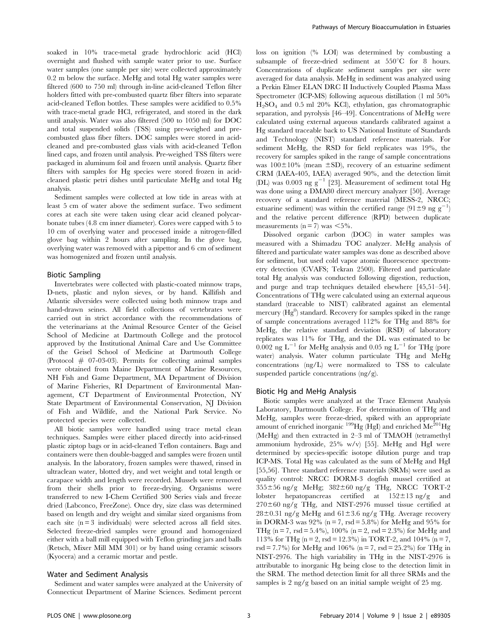soaked in 10% trace-metal grade hydrochloric acid (HCl) overnight and flushed with sample water prior to use. Surface water samples (one sample per site) were collected approximately 0.2 m below the surface. MeHg and total Hg water samples were filtered (600 to 750 ml) through in-line acid-cleaned Teflon filter holders fitted with pre-combusted quartz fiber filters into separate acid-cleaned Teflon bottles. These samples were acidified to 0.5% with trace-metal grade HCl, refrigerated, and stored in the dark until analysis. Water was also filtered (500 to 1050 ml) for DOC and total suspended solids (TSS) using pre-weighed and precombusted glass fiber filters. DOC samples were stored in acidcleaned and pre-combusted glass vials with acid-cleaned Teflon lined caps, and frozen until analysis. Pre-weighed TSS filters were packaged in aluminum foil and frozen until analysis. Quartz fiber filters with samples for Hg species were stored frozen in acidcleaned plastic petri dishes until particulate MeHg and total Hg analysis.

Sediment samples were collected at low tide in areas with at least 5 cm of water above the sediment surface. Two sediment cores at each site were taken using clear acid cleaned polycarbonate tubes (4.8 cm inner diameter). Cores were capped with 5 to 10 cm of overlying water and processed inside a nitrogen-filled glove bag within 2 hours after sampling. In the glove bag, overlying water was removed with a pipettor and 6 cm of sediment was homogenized and frozen until analysis.

#### Biotic Sampling

Invertebrates were collected with plastic-coated minnow traps, D-nets, plastic and nylon sieves, or by hand. Killifish and Atlantic silversides were collected using both minnow traps and hand-drawn seines. All field collections of vertebrates were carried out in strict accordance with the recommendations of the veterinarians at the Animal Resource Center of the Geisel School of Medicine at Dartmouth College and the protocol approved by the Institutional Animal Care and Use Committee of the Geisel School of Medicine at Dartmouth College (Protocol  $#$  07-03-03). Permits for collecting animal samples were obtained from Maine Department of Marine Resources, NH Fish and Game Department, MA Department of Division of Marine Fisheries, RI Department of Environmental Management, CT Department of Environmental Protection, NY State Department of Environmental Conservation, NJ Division of Fish and Wildlife, and the National Park Service. No protected species were collected.

All biotic samples were handled using trace metal clean techniques. Samples were either placed directly into acid-rinsed plastic ziptop bags or in acid-cleaned Teflon containers. Bags and containers were then double-bagged and samples were frozen until analysis. In the laboratory, frozen samples were thawed, rinsed in ultraclean water, blotted dry, and wet weight and total length or carapace width and length were recorded. Mussels were removed from their shells prior to freeze-drying. Organisms were transferred to new I-Chem Certified 300 Series vials and freeze dried (Labconco, FreeZone). Once dry, size class was determined based on length and dry weight and similar sized organisms from each site (n = 3 individuals) were selected across all field sites. Selected freeze-dried samples were ground and homogenized either with a ball mill equipped with Teflon grinding jars and balls (Retsch, Mixer Mill MM 301) or by hand using ceramic scissors (Kyocera) and a ceramic mortar and pestle.

#### Water and Sediment Analysis

Sediment and water samples were analyzed at the University of Connecticut Department of Marine Sciences. Sediment percent loss on ignition (% LOI) was determined by combusting a subsample of freeze-dried sediment at  $550^{\circ}$ C for 8 hours. Concentrations of duplicate sediment samples per site were averaged for data analysis. MeHg in sediment was analyzed using a Perkin Elmer ELAN DRC II Inductively Coupled Plasma Mass Spectrometer (ICP-MS) following aqueous distillation (1 ml 50%  $H_2SO_4$  and 0.5 ml 20% KCl), ethylation, gas chromatographic separation, and pyrolysis [46–49]. Concentrations of MeHg were calculated using external aqueous standards calibrated against a Hg standard traceable back to US National Institute of Standards and Technology (NIST) standard reference materials. For sediment MeHg, the RSD for field replicates was 19%, the recovery for samples spiked in the range of sample concentrations was  $100\pm10\%$  (mean  $\pm$ SD), recovery of an estuarine sediment CRM (IAEA-405, IAEA) averaged 90%, and the detection limit (DL) was 0.003 ng  $g^{-1}$  [23]. Measurement of sediment total Hg was done using a DMA80 direct mercury analyzer [50]. Average recovery of a standard reference material (MESS-2, NRCC; estuarine sediment) was within the certified range  $(91 \pm 9 \text{ ng g}^{-1})$ and the relative percent difference (RPD) between duplicate measurements ( $n = 7$ ) was  $\lt 5\%$ .

Dissolved organic carbon (DOC) in water samples was measured with a Shimadzu TOC analyzer. MeHg analysis of filtered and particulate water samples was done as described above for sediment, but used cold vapor atomic fluorescence spectrometry detection (CVAFS; Tekran 2500). Filtered and particulate total Hg analysis was conducted following digestion, reduction, and purge and trap techniques detailed elsewhere [45,51–54]. Concentrations of THg were calculated using an external aqueous standard (traceable to NIST) calibrated against an elemental mercury  $(Hg^0)$  standard. Recovery for samples spiked in the range of sample concentrations averaged 112% for THg and 88% for MeHg, the relative standard deviation (RSD) of laboratory replicates was 11% for THg, and the DL was estimated to be  $0.002$  ng L<sup>-1</sup> for MeHg analysis and 0.05 ng L<sup>-1</sup> for THg (pore water) analysis. Water column particulate THg and MeHg concentrations (ng/L) were normalized to TSS to calculate suspended particle concentrations (ng/g).

#### Biotic Hg and MeHg Analysis

Biotic samples were analyzed at the Trace Element Analysis Laboratory, Dartmouth College. For determination of THg and MeHg, samples were freeze-dried, spiked with an appropriate amount of enriched inorganic  $^{199}Hg$  (HgI) and enriched  $\text{Me}^{\text{201}}\text{Hg}$ (MeHg) and then extracted in 2–3 ml of TMAOH (tetramethyl ammonium hydroxide, 25% w/v) [55]. MeHg and HgI were determined by species-specific isotope dilution purge and trap ICP-MS. Total Hg was calculated as the sum of MeHg and HgI [55,56]. Three standard reference materials (SRMs) were used as quality control: NRCC DORM-3 dogfish mussel certified at 355656 ng/g MeHg; 382660 ng/g THg, NRCC TORT-2 lobster hepatopancreas certified at  $152 \pm 13$  ng/g and  $270\pm60$  ng/g THg, and NIST-2976 mussel tissue certified at  $28\pm0.31$  ng/g MeHg and  $61\pm3.6$  ng/g THg. Average recovery in DORM-3 was  $92\%$  (n = 7, rsd = 5.8%) for MeHg and 95% for THg ( $n = 7$ ,  $rsd = 5.4\%$ ), 100% ( $n = 2$ ,  $rsd = 2.3\%$ ) for MeHg and 113% for THg ( $n = 2$ , rsd = 12.3%) in TORT-2, and 104% ( $n = 7$ , rsd = 7.7%) for MeHg and 106% (n = 7, rsd = 25.2%) for THg in NIST-2976. The high variability in THg in the NIST-2976 is attributable to inorganic Hg being close to the detection limit in the SRM. The method detection limit for all three SRMs and the samples is  $2 \text{ ng/g}$  based on an initial sample weight of  $25 \text{ mg}$ .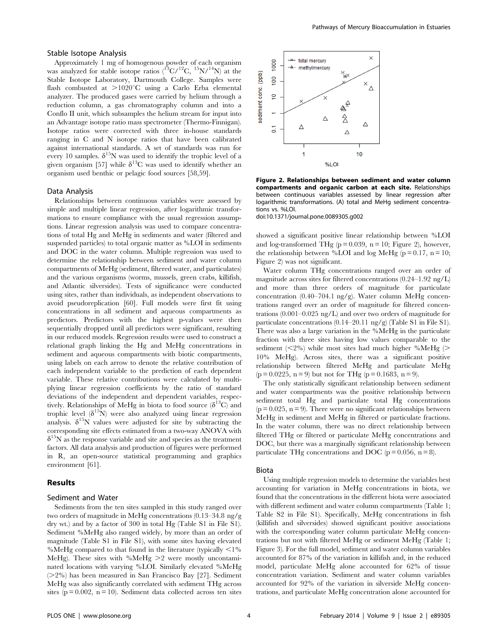#### Stable Isotope Analysis

Approximately 1 mg of homogenous powder of each organism was analyzed for stable isotope ratios  $(^{13}C/^{12}C, ^{15}N/^{14}N)$  at the Stable Isotope Laboratory, Dartmouth College. Samples were flash combusted at  $>1020^{\circ}$ C using a Carlo Erba elemental analyzer. The produced gases were carried by helium through a reduction column, a gas chromatography column and into a Conflo II unit, which subsamples the helium stream for input into an Advantage isotope ratio mass spectrometer (Thermo-Finnigan). Isotope ratios were corrected with three in-house standards ranging in C and N isotope ratios that have been calibrated against international standards. A set of standards was run for every 10 samples.  $\delta^{15}N$  was used to identify the trophic level of a given organism [57] while  $\delta^{13}$ C was used to identify whether an organism used benthic or pelagic food sources [58,59].

#### Data Analysis

Relationships between continuous variables were assessed by simple and multiple linear regression, after logarithmic transformations to ensure compliance with the usual regression assumptions. Linear regression analysis was used to compare concentrations of total Hg and MeHg in sediments and water (filtered and suspended particles) to total organic matter as %LOI in sediments and DOC in the water column. Multiple regression was used to determine the relationship between sediment and water column compartments of MeHg (sediment, filtered water, and particulates) and the various organisms (worms, mussels, green crabs, killifish, and Atlantic silversides). Tests of significance were conducted using sites, rather than individuals, as independent observations to avoid pseudoreplication [60]. Full models were first fit using concentrations in all sediment and aqueous compartments as predictors. Predictors with the highest p-values were then sequentially dropped until all predictors were significant, resulting in our reduced models. Regression results were used to construct a relational graph linking the Hg and MeHg concentrations in sediment and aqueous compartments with biotic compartments, using labels on each arrow to denote the relative contribution of each independent variable to the prediction of each dependent variable. These relative contributions were calculated by multiplying linear regression coefficients by the ratio of standard deviations of the independent and dependent variables, respectively. Relationships of MeHg in biota to food source  $(\delta^{13}C)$  and trophic level  $(\delta^{15}N)$  were also analyzed using linear regression analysis.  $\delta^{15}N$  values were adjusted for site by subtracting the corresponding site effects estimated from a two-way ANOVA with  $\delta^{15}$ N as the response variable and site and species as the treatment factors. All data analysis and production of figures were performed in R, an open-source statistical programming and graphics environment [61].

#### Results

#### Sediment and Water

Sediments from the ten sites sampled in this study ranged over two orders of magnitude in MeHg concentrations (0.13–34.8 ng/g dry wt.) and by a factor of 300 in total Hg (Table S1 in File S1). Sediment %MeHg also ranged widely, by more than an order of magnitude (Table S1 in File S1), with some sites having elevated %MeHg compared to that found in the literature (typically  $\leq$ 1% MeHg). These sites with %MeHg  $\geq$  were mostly uncontaminated locations with varying %LOI. Similarly elevated %MeHg  $(>=2\%)$  has been measured in San Francisco Bay [27]. Sediment MeHg was also significantly correlated with sediment THg across sites ( $p = 0.002$ ,  $n = 10$ ). Sediment data collected across ten sites



Figure 2. Relationships between sediment and water column compartments and organic carbon at each site. Relationships between continuous variables assessed by linear regression after logarithmic transformations. (A) total and MeHg sediment concentrations vs. %LOI.

doi:10.1371/journal.pone.0089305.g002

showed a significant positive linear relationship between %LOI and log-transformed THg  $(p = 0.039, n = 10;$  Figure 2), however, the relationship between %LOI and log MeHg ( $p = 0.17$ ,  $n = 10$ ; Figure 2) was not significant.

Water column THg concentrations ranged over an order of magnitude across sites for filtered concentrations (0.24–1.92 ng/L) and more than three orders of magnitude for particulate concentration (0.40–704.1 ng/g). Water column MeHg concentrations ranged over an order of magnitude for filtered concentrations (0.001–0.025 ng/L) and over two orders of magnitude for particulate concentrations (0.14–20.11 ng/g) (Table S1 in File S1). There was also a large variation in the %MeHg in the particulate fraction with three sites having low values comparable to the sediment  $(<2%)$  while most sites had much higher %MeHg (> 10% MeHg). Across sites, there was a significant positive relationship between filtered MeHg and particulate MeHg  $(p = 0.0225, n = 9)$  but not for THg  $(p = 0.1683, n = 9)$ .

The only statistically significant relationship between sediment and water compartments was the positive relationship between sediment total Hg and particulate total Hg concentrations  $(p = 0.025, n = 9)$ . There were no significant relationships between MeHg in sediment and MeHg in filtered or particulate fractions. In the water column, there was no direct relationship between filtered THg or filtered or particulate MeHg concentrations and DOC, but there was a marginally significant relationship between particulate THg concentrations and DOC ( $p = 0.056$ ,  $n = 8$ ).

#### Biota

Using multiple regression models to determine the variables best accounting for variation in MeHg concentrations in biota, we found that the concentrations in the different biota were associated with different sediment and water column compartments (Table 1; Table S2 in File S1). Specifically, MeHg concentrations in fish (killifish and silversides) showed significant positive associations with the corresponding water column particulate MeHg concentrations but not with filtered MeHg or sediment MeHg (Table 1; Figure 3). For the full model, sediment and water column variables accounted for 87% of the variation in killifish and, in the reduced model, particulate MeHg alone accounted for 62% of tissue concentration variation. Sediment and water column variables accounted for 92% of the variation in silverside MeHg concentrations, and particulate MeHg concentration alone accounted for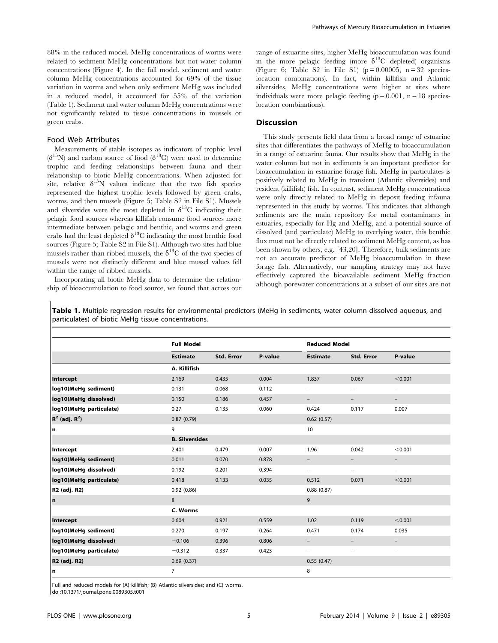88% in the reduced model. MeHg concentrations of worms were related to sediment MeHg concentrations but not water column concentrations (Figure 4). In the full model, sediment and water column MeHg concentrations accounted for 69% of the tissue variation in worms and when only sediment MeHg was included in a reduced model, it accounted for 55% of the variation (Table 1). Sediment and water column MeHg concentrations were not significantly related to tissue concentrations in mussels or green crabs.

#### Food Web Attributes

Measurements of stable isotopes as indicators of trophic level  $(\delta^{15}N)$  and carbon source of food  $(\delta^{13}C)$  were used to determine trophic and feeding relationships between fauna and their relationship to biotic MeHg concentrations. When adjusted for site, relative  $\delta^{15}N$  values indicate that the two fish species represented the highest trophic levels followed by green crabs, worms, and then mussels (Figure 5; Table S2 in File S1). Mussels and silversides were the most depleted in  $\delta^{13}$ C indicating their pelagic food sources whereas killifish consume food sources more intermediate between pelagic and benthic, and worms and green crabs had the least depleted  $\delta^{13}$ C indicating the most benthic food sources (Figure 5; Table S2 in File S1). Although two sites had blue mussels rather than ribbed mussels, the  $\delta^{13}C$  of the two species of mussels were not distinctly different and blue mussel values fell within the range of ribbed mussels.

Incorporating all biotic MeHg data to determine the relationship of bioaccumulation to food source, we found that across our range of estuarine sites, higher MeHg bioaccumulation was found in the more pelagic feeding (more  $\delta^{13}$ C depleted) organisms (Figure 6; Table S2 in File S1) ( $p = 0.00005$ ,  $n = 32$  specieslocation combinations). In fact, within killifish and Atlantic silversides, MeHg concentrations were higher at sites where individuals were more pelagic feeding  $(p = 0.001, n = 18$  specieslocation combinations).

#### Discussion

This study presents field data from a broad range of estuarine sites that differentiates the pathways of MeHg to bioaccumulation in a range of estuarine fauna. Our results show that MeHg in the water column but not in sediments is an important predictor for bioaccumulation in estuarine forage fish. MeHg in particulates is positively related to MeHg in transient (Atlantic silversides) and resident (killifish) fish. In contrast, sediment MeHg concentrations were only directly related to MeHg in deposit feeding infauna represented in this study by worms. This indicates that although sediments are the main repository for metal contaminants in estuaries, especially for Hg and MeHg, and a potential source of dissolved (and particulate) MeHg to overlying water, this benthic flux must not be directly related to sediment MeHg content, as has been shown by others, e.g. [43,20]. Therefore, bulk sediments are not an accurate predictor of MeHg bioaccumulation in these forage fish. Alternatively, our sampling strategy may not have effectively captured the bioavailable sediment MeHg fraction although porewater concentrations at a subset of our sites are not

|                         | <b>Full Model</b>     |                   |         |                          | <b>Reduced Model</b>     |                   |  |
|-------------------------|-----------------------|-------------------|---------|--------------------------|--------------------------|-------------------|--|
|                         | <b>Estimate</b>       | <b>Std. Error</b> | P-value | <b>Estimate</b>          | <b>Std. Error</b>        | P-value           |  |
|                         | A. Killifish          |                   |         |                          |                          |                   |  |
| Intercept               | 2.169                 | 0.435             | 0.004   | 1.837                    | 0.067                    | < 0.001           |  |
| log10(MeHg sediment)    | 0.131                 | 0.068             | 0.112   | $\qquad \qquad -$        | $\qquad \qquad -$        | $\qquad \qquad -$ |  |
| log10(MeHg dissolved)   | 0.150                 | 0.186             | 0.457   | $\overline{\phantom{a}}$ | $\qquad \qquad -$        | $\qquad \qquad -$ |  |
| log10(MeHg particulate) | 0.27                  | 0.135             | 0.060   | 0.424                    | 0.117                    | 0.007             |  |
| $R^2$ (adj. $R^2$ )     | 0.87(0.79)            |                   |         | 0.62(0.57)               |                          |                   |  |
| n                       | 9                     |                   |         | 10                       |                          |                   |  |
|                         | <b>B. Silversides</b> |                   |         |                          |                          |                   |  |
| Intercept               | 2.401                 | 0.479             | 0.007   | 1.96                     | 0.042                    | < 0.001           |  |
| log10(MeHg sediment)    | 0.011                 | 0.070             | 0.878   | $\overline{\phantom{0}}$ | $\overline{\phantom{0}}$ | $\qquad \qquad -$ |  |
| log10(MeHg dissolved)   | 0.192                 | 0.201             | 0.394   | -                        | $\qquad \qquad -$        | $\overline{a}$    |  |
| log10(MeHg particulate) | 0.418                 | 0.133             | 0.035   | 0.512                    | 0.071                    | < 0.001           |  |
| R2 (adj. R2)            | 0.92(0.86)            |                   |         | 0.88(0.87)               |                          |                   |  |
| n                       | 8                     |                   |         | 9                        |                          |                   |  |
|                         | C. Worms              |                   |         |                          |                          |                   |  |
| Intercept               | 0.604                 | 0.921             | 0.559   | 1.02                     | 0.119                    | < 0.001           |  |
| log10(MeHg sediment)    | 0.270                 | 0.197             | 0.264   | 0.471                    | 0.174                    | 0.035             |  |
| log10(MeHg dissolved)   | $-0.106$              | 0.396             | 0.806   | $\overline{\phantom{a}}$ | $\qquad \qquad -$        | $\qquad \qquad -$ |  |
| log10(MeHg particulate) | $-0.312$              | 0.337             | 0.423   | $\overline{\phantom{a}}$ | $\overline{\phantom{0}}$ | $\qquad \qquad -$ |  |
| R2 (adj. R2)            | 0.69(0.37)            |                   |         | 0.55(0.47)               |                          |                   |  |
| n                       | $\overline{7}$        |                   |         | 8                        |                          |                   |  |

Table 1. Multiple regression results for environmental predictors (MeHg in sediments, water column dissolved aqueous, and

Full and reduced models for (A) killifish; (B) Atlantic silversides; and (C) worms.

doi:10.1371/journal.pone.0089305.t001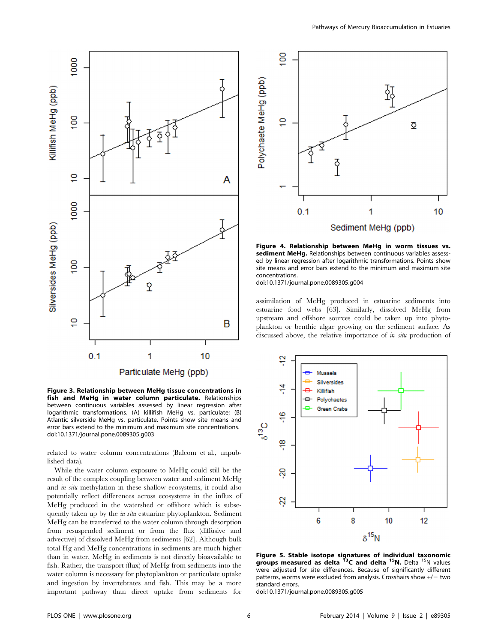

Figure 3. Relationship between MeHg tissue concentrations in fish and MeHg in water column particulate. Relationships between continuous variables assessed by linear regression after logarithmic transformations. (A) killifish MeHg vs. particulate; (B) Atlantic silverside MeHg vs. particulate. Points show site means and error bars extend to the minimum and maximum site concentrations. doi:10.1371/journal.pone.0089305.g003

related to water column concentrations (Balcom et al., unpublished data).

While the water column exposure to MeHg could still be the result of the complex coupling between water and sediment MeHg and in situ methylation in these shallow ecosystems, it could also potentially reflect differences across ecosystems in the influx of MeHg produced in the watershed or offshore which is subsequently taken up by the in situ estuarine phytoplankton. Sediment MeHg can be transferred to the water column through desorption from resuspended sediment or from the flux (diffusive and advective) of dissolved MeHg from sediments [62]. Although bulk total Hg and MeHg concentrations in sediments are much higher than in water, MeHg in sediments is not directly bioavailable to fish. Rather, the transport (flux) of MeHg from sediments into the water column is necessary for phytoplankton or particulate uptake and ingestion by invertebrates and fish. This may be a more important pathway than direct uptake from sediments for



Figure 4. Relationship between MeHg in worm tissues vs. sediment MeHq. Relationships between continuous variables assessed by linear regression after logarithmic transformations. Points show site means and error bars extend to the minimum and maximum site concentrations.

doi:10.1371/journal.pone.0089305.g004

assimilation of MeHg produced in estuarine sediments into estuarine food webs [63]. Similarly, dissolved MeHg from upstream and offshore sources could be taken up into phytoplankton or benthic algae growing on the sediment surface. As discussed above, the relative importance of in situ production of



Figure 5. Stable isotope signatures of individual taxonomic<br>groups measured as delta <sup>13</sup>C and delta <sup>15</sup>N. Delta <sup>15</sup>N values were adjusted for site differences. Because of significantly different patterns, worms were excluded from analysis. Crosshairs show  $+/-$  two standard errors.

doi:10.1371/journal.pone.0089305.g005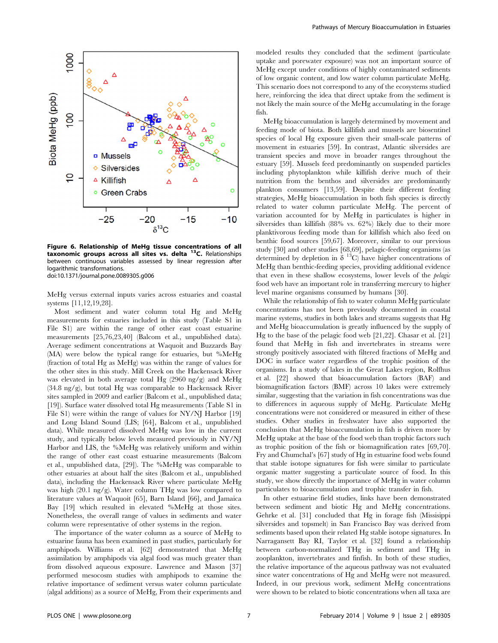

Figure 6. Relationship of MeHg tissue concentrations of all taxonomic groups across all sites vs. delta 13C. Relationships between continuous variables assessed by linear regression after logarithmic transformations. doi:10.1371/journal.pone.0089305.g006

MeHg versus external inputs varies across estuaries and coastal systems [11,12,19,28].

Most sediment and water column total Hg and MeHg measurements for estuaries included in this study (Table S1 in File S1) are within the range of other east coast estuarine measurements [25,76,23,40] (Balcom et al., unpublished data). Average sediment concentrations at Waquoit and Buzzards Bay (MA) were below the typical range for estuaries, but %MeHg (fraction of total Hg as MeHg) was within the range of values for the other sites in this study. Mill Creek on the Hackensack River was elevated in both average total Hg (2960 ng/g) and MeHg (34.8 ng/g), but total Hg was comparable to Hackensack River sites sampled in 2009 and earlier (Balcom et al., unpublished data; [19]). Surface water dissolved total Hg measurements (Table S1 in File S1) were within the range of values for NY/NJ Harbor [19] and Long Island Sound (LIS; [64], Balcom et al., unpublished data). While measured dissolved MeHg was low in the current study, and typically below levels measured previously in NY/NJ Harbor and LIS, the %MeHg was relatively uniform and within the range of other east coast estuarine measurements (Balcom et al., unpublished data, [29]). The %MeHg was comparable to other estuaries at about half the sites (Balcom et al., unpublished data), including the Hackensack River where particulate MeHg was high (20.1 ng/g). Water column THg was low compared to literature values at Waquoit [65], Barn Island [66], and Jamaica Bay [19] which resulted in elevated %MeHg at those sites. Nonetheless, the overall range of values in sediments and water column were representative of other systems in the region.

The importance of the water column as a source of MeHg to estuarine fauna has been examined in past studies, particularly for amphipods. Williams et al. [62] demonstrated that MeHg assimilation by amphipods via algal food was much greater than from dissolved aqueous exposure. Lawrence and Mason [37] performed mesocosm studies with amphipods to examine the relative importance of sediment versus water column particulate (algal additions) as a source of MeHg, From their experiments and modeled results they concluded that the sediment (particulate uptake and porewater exposure) was not an important source of MeHg except under conditions of highly contaminated sediments of low organic content, and low water column particulate MeHg. This scenario does not correspond to any of the ecosystems studied here, reinforcing the idea that direct uptake from the sediment is not likely the main source of the MeHg accumulating in the forage fish.

MeHg bioaccumulation is largely determined by movement and feeding mode of biota. Both killifish and mussels are biosentinel species of local Hg exposure given their small-scale patterns of movement in estuaries [59]. In contrast, Atlantic silversides are transient species and move in broader ranges throughout the estuary [59]. Mussels feed predominantly on suspended particles including phytoplankton while killifish derive much of their nutrition from the benthos and silversides are predominantly plankton consumers [13,59]. Despite their different feeding strategies, MeHg bioaccumulation in both fish species is directly related to water column particulate MeHg. The percent of variation accounted for by MeHg in particulates is higher in silversides than killifish (88% vs. 62%) likely due to their more planktivorous feeding mode than for killifish which also feed on benthic food sources [59,67]. Moreover, similar to our previous study [30] and other studies [68,69], pelagic-feeding organisms (as determined by depletion in  $\delta$  <sup>13</sup>C) have higher concentrations of MeHg than benthic-feeding species, providing additional evidence that even in these shallow ecosystems, lower levels of the pelagic food web have an important role in transferring mercury to higher level marine organisms consumed by humans [30].

While the relationship of fish to water column MeHg particulate concentrations has not been previously documented in coastal marine systems, studies in both lakes and streams suggests that Hg and MeHg bioaccumulation is greatly influenced by the supply of Hg to the base of the pelagic food web [21,22]. Chasar et al. [21] found that MeHg in fish and invertebrates in streams were strongly positively associated with filtered fractions of MeHg and DOC in surface water regardless of the trophic position of the organisms. In a study of lakes in the Great Lakes region, Rolfhus et al. [22] showed that bioaccumulation factors (BAF) and biomagnification factors (BMF) across 10 lakes were extremely similar, suggesting that the variation in fish concentrations was due to differences in aqueous supply of MeHg. Particulate MeHg concentrations were not considered or measured in either of these studies. Other studies in freshwater have also supported the conclusion that MeHg bioaccumulation in fish is driven more by MeHg uptake at the base of the food web than trophic factors such as trophic position of the fish or biomagnification rates [69,70]. Fry and Chumchal's [67] study of Hg in estuarine food webs found that stable isotope signatures for fish were similar to particulate organic matter suggesting a particulate source of food. In this study, we show directly the importance of MeHg in water column particulates to bioaccumulation and trophic transfer in fish.

In other estuarine field studies, links have been demonstrated between sediment and biotic Hg and MeHg concentrations. Gehrke et al. [31] concluded that Hg in forage fish (Missisippi silversides and topsmelt) in San Francisco Bay was derived from sediments based upon their related Hg stable isotope signatures. In Narragansett Bay RI, Taylor et al. [32] found a relationship between carbon-normalized THg in sediment and THg in zooplankton, invertebrates and finfish. In both of these studies, the relative importance of the aqueous pathway was not evaluated since water concentrations of Hg and MeHg were not measured. Indeed, in our previous work, sediment MeHg concentrations were shown to be related to biotic concentrations when all taxa are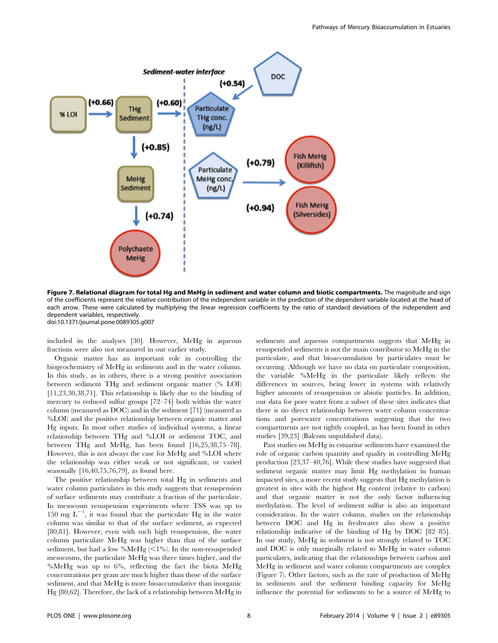

Figure 7. Relational diagram for total Hg and MeHg in sediment and water column and biotic compartments. The magnitude and sign of the coefficients represent the relative contribution of the independent variable in the prediction of the dependent variable located at the head of each arrow. These were calculated by multiplying the linear regression coefficients by the ratio of standard deviations of the independent and dependent variables, respectively. doi:10.1371/journal.pone.0089305.g007

included in the analyses [30]. However, MeHg in aqueous fractions were also not measured in our earlier study.

Organic matter has an important role in controlling the biogeochemistry of MeHg in sediments and in the water column. In this study, as in others, there is a strong positive association between sediment THg and sediment organic matter (% LOI) [11,23,30,38,71]. This relationship is likely due to the binding of mercury to reduced sulfur groups [72–74] both within the water column (measured as DOC) and in the sediment [71] (measured as %LOI) and the positive relationship between organic matter and Hg inputs. In most other studies of individual systems, a linear relationship between THg and %LOI or sediment TOC, and between THg and MeHg, has been found [16,25,38,75–78]. However, this is not always the case for MeHg and %LOI where the relationship was either weak or not significant, or varied seasonally [16,40,75,76,79], as found here.

The positive relationship between total Hg in sediments and water column particulates in this study suggests that resuspension of surface sediments may contribute a fraction of the particulate. In mesocosm resuspension experiments where TSS was up to 150 mg  $L^{-1}$ , it was found that the particulate Hg in the water column was similar to that of the surface sediment, as expected [80,81]. However, even with such high resuspension, the water column particulate MeHg was higher than that of the surface sediment, but had a low %MeHg  $(<1%$ ). In the non-resuspended mesocosms, the particulate MeHg was three times higher, and the %MeHg was up to 6%, reflecting the fact the biota MeHg concentrations per gram are much higher than those of the surface sediment, and that MeHg is more bioaccumulative than inorganic Hg [80,62]. Therefore, the lack of a relationship between MeHg in sediments and aqueous compartments suggests that MeHg in resuspended sediments is not the main contributor to MeHg in the particulate, and that bioaccumulation by particulates must be occurring. Although we have no data on particulate composition, the variable %MeHg in the particulate likely reflects the differences in sources, being lower in systems with relatively higher amounts of resuspension or abiotic particles. In addition, our data for pore water from a subset of these sites indicates that there is no direct relationship between water column concentrations and porewater concentrations suggesting that the two compartments are not tightly coupled, as has been found in other studies [39,23] (Balcom unpublished data).

Past studies on MeHg in estuarine sediments have examined the role of organic carbon quantity and quality in controlling MeHg production [23,37–40,76]. While these studies have suggested that sediment organic matter may limit Hg methylation in human impacted sites, a more recent study suggests that Hg methylation is greatest in sites with the highest Hg content (relative to carbon) and that organic matter is not the only factor influencing methylation. The level of sediment sulfur is also an important consideration. In the water column, studies on the relationship between DOC and Hg in freshwater also show a positive relationship indicative of the binding of Hg by DOC [82–85]. In our study, MeHg in sediment is not strongly related to TOC and DOC is only marginally related to MeHg in water column particulates, indicating that the relationships between carbon and MeHg in sediment and water column compartments are complex (Figure 7). Other factors, such as the rate of production of MeHg in sediments and the sediment binding capacity for MeHg influence the potential for sediments to be a source of MeHg to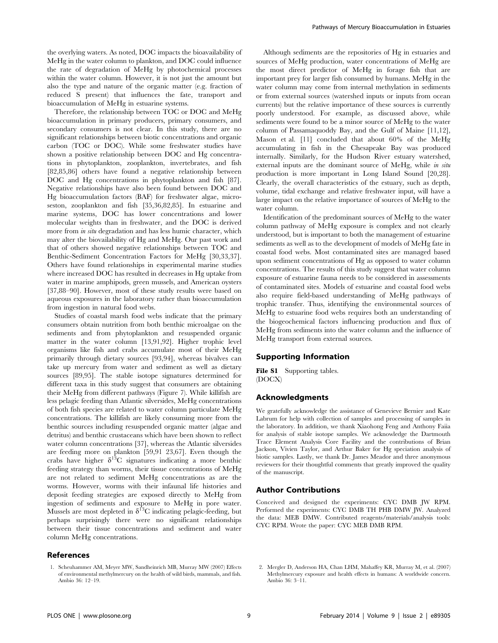the overlying waters. As noted, DOC impacts the bioavailability of MeHg in the water column to plankton, and DOC could influence the rate of degradation of MeHg by photochemical processes within the water column. However, it is not just the amount but also the type and nature of the organic matter (e.g. fraction of reduced S present) that influences the fate, transport and bioaccumulation of MeHg in estuarine systems.

Therefore, the relationship between TOC or DOC and MeHg bioaccumulation in primary producers, primary consumers, and secondary consumers is not clear. In this study, there are no significant relationships between biotic concentrations and organic carbon (TOC or DOC). While some freshwater studies have shown a positive relationship between DOC and Hg concentrations in phytoplankton, zooplankton, invertebrates, and fish [82,85,86] others have found a negative relationship between DOC and Hg concentrations in phytoplankton and fish [87]. Negative relationships have also been found between DOC and Hg bioaccumulation factors (BAF) for freshwater algae, microseston, zooplankton and fish [35,36,82,85]. In estuarine and marine systems, DOC has lower concentrations and lower molecular weights than in freshwater, and the DOC is derived more from in situ degradation and has less humic character, which may alter the biovailability of Hg and MeHg. Our past work and that of others showed negative relationships between TOC and Benthic-Sediment Concentration Factors for MeHg [30,33,37]. Others have found relationships in experimental marine studies where increased DOC has resulted in decreases in Hg uptake from water in marine amphipods, green mussels, and American oysters [37,88–90]. However, most of these study results were based on aqueous exposures in the laboratory rather than bioaccumulation from ingestion in natural food webs.

Studies of coastal marsh food webs indicate that the primary consumers obtain nutrition from both benthic microalgae on the sediments and from phytoplankton and resuspended organic matter in the water column [13,91,92]. Higher trophic level organisms like fish and crabs accumulate most of their MeHg primarily through dietary sources [93,94], whereas bivalves can take up mercury from water and sediment as well as dietary sources [89,95]. The stable isotope signatures determined for different taxa in this study suggest that consumers are obtaining their MeHg from different pathways (Figure 7). While killifish are less pelagic feeding than Atlantic silversides, MeHg concentrations of both fish species are related to water column particulate MeHg concentrations. The killifish are likely consuming more from the benthic sources including resuspended organic matter (algae and detritus) and benthic crustaceans which have been shown to reflect water column concentrations [37], whereas the Atlantic silversides are feeding more on plankton [59,91 23,67]. Even though the crabs have higher  $\delta^{13}$ C signatures indicating a more benthic feeding strategy than worms, their tissue concentrations of MeHg are not related to sediment MeHg concentrations as are the worms. However, worms with their infaunal life histories and deposit feeding strategies are exposed directly to MeHg from ingestion of sediments and exposure to MeHg in pore water. Mussels are most depleted in  $\delta^{13}$ C indicating pelagic-feeding, but perhaps surprisingly there were no significant relationships between their tissue concentrations and sediment and water column MeHg concentrations.

#### References

1. Scheuhammer AM, Meyer MW, Sandheinrich MB, Murray MW (2007) Effects of environmental methylmercury on the health of wild birds, mammals, and fish. Ambio 36: 12–19.

Although sediments are the repositories of Hg in estuaries and sources of MeHg production, water concentrations of MeHg are the most direct predictor of MeHg in forage fish that are important prey for larger fish consumed by humans. MeHg in the water column may come from internal methylation in sediments or from external sources (watershed inputs or inputs from ocean currents) but the relative importance of these sources is currently poorly understood. For example, as discussed above, while sediments were found to be a minor source of MeHg to the water column of Passamaquoddy Bay, and the Gulf of Maine [11,12], Mason et al. [11] concluded that about 60% of the MeHg accumulating in fish in the Chesapeake Bay was produced internally. Similarly, for the Hudson River estuary watershed, external inputs are the dominant source of MeHg, while in situ production is more important in Long Island Sound [20,28]. Clearly, the overall characteristics of the estuary, such as depth, volume, tidal exchange and relative freshwater input, will have a large impact on the relative importance of sources of MeHg to the water column.

Identification of the predominant sources of MeHg to the water column pathway of MeHg exposure is complex and not clearly understood, but is important to both the management of estuarine sediments as well as to the development of models of MeHg fate in coastal food webs. Most contaminated sites are managed based upon sediment concentrations of Hg as opposed to water column concentrations. The results of this study suggest that water column exposure of estuarine fauna needs to be considered in assessments of contaminated sites. Models of estuarine and coastal food webs also require field-based understanding of MeHg pathways of trophic transfer. Thus, identifying the environmental sources of MeHg to estuarine food webs requires both an understanding of the biogeochemical factors influencing production and flux of MeHg from sediments into the water column and the influence of MeHg transport from external sources.

#### Supporting Information

File S1 Supporting tables. (DOCX)

### Acknowledgments

We gratefully acknowledge the assistance of Genevieve Bernier and Kate Labrum for help with collection of samples and processing of samples in the laboratory. In addition, we thank Xiaohong Feng and Anthony Faiia for analysis of stable isotope samples. We acknowledge the Dartmouth Trace Element Analysis Core Facility and the contributions of Brian Jackson, Vivien Taylor, and Arthur Baker for Hg speciation analysis of biotic samples. Lastly, we thank Dr. James Meador and three anonymous reviewers for their thoughtful comments that greatly improved the quality of the manuscript.

#### Author Contributions

Conceived and designed the experiments: CYC DMB JW RPM. Performed the experiments: CYC DMB TH PHB DMW JW. Analyzed the data: MEB DMW. Contributed reagents/materials/analysis tools: CYC RPM. Wrote the paper: CYC MEB DMB RPM.

2. Mergler D, Anderson HA, Chan LHM, Mahaffey KR, Murray M, et al. (2007) Methylmercury exposure and health effects in humans: A worldwide concern. Ambio 36: 3–11.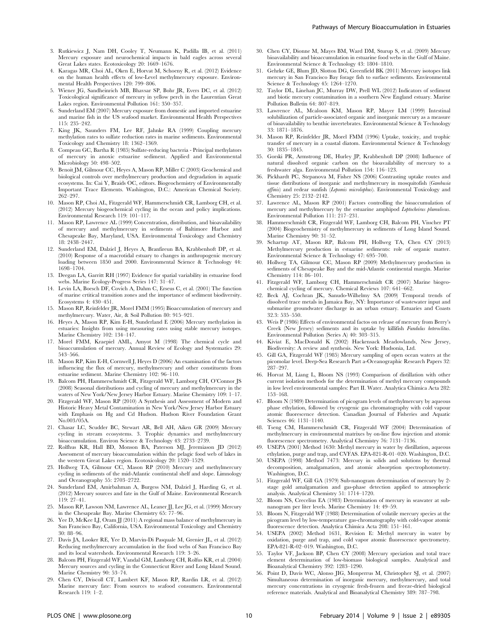- 3. Rutkiewicz J, Nam DH, Cooley T, Neumann K, Padilla IB, et al. (2011) Mercury exposure and neurochemical impacts in bald eagles across several Great Lakes states. Ecotoxicology 20: 1669–1676.
- 4. Karagas MR, Choi AL, Oken E, Horvat M, Schoeny R, et al. (2012) Evidence on the human health effects of low-Level methylmercury exposure. Environmental Health Perspectives 120: 799–806.
- 5. Wiener JG, Sandheinrich MB, Bhavsar SP, Bohr JR, Evers DC, et al. (2012) Toxicological significance of mercury in yellow perch in the Laurentian Great Lakes region. Environmental Pollution 161: 350–357.
- 6. Sunderland EM (2007) Mercury exposure from domestic and imported estuarine and marine fish in the US seafood market. Environmental Health Perspectives 115: 235–242.
- 7. King JK, Saunders FM, Lee RF, Jahnke RA (1999) Coupling mercury methylation rates to sulfate reduction rates in marine sediments. Environmental Toxicology and Chemistry 18: 1362–1369.
- 8. Compeau GC, Bartha R (1985) Sulfate-reducing bacteria Principal methylators of mercury in anoxic estuarine sediment. Applied and Environmental Microbiology 50: 498-502.
- 9. Benoit JM, Gilmour CC, Heyes A, Mason RP, Miller C (2003) Geochemical and biological controls over methylmercury production and degradation in aquatic ecosystems. In: Cai Y, Braids OC, editors. Biogeochemistry of Environmentally Important Trace Elements. Washington, D.C.: American Chemical Society. 262–297.
- 10. Mason RP, Choi AL, Fitzgerald WF, Hammerschmidt CR, Lamborg CH, et al. (2012) Mercury biogeochemical cycling in the ocean and policy implications. Environmental Research 119: 101–117.
- 11. Mason RP, Lawrence AL (1999) Concentration, distribution, and bioavailability of mercury and methylmercury in sediments of Baltimore Harbor and Chesapeake Bay, Maryland, USA. Environmental Toxicology and Chemistry 18: 2438–2447.
- 12. Sunderland EM, Dalziel J, Heyes A, Branfireun BA, Krabbenhoft DP, et al. (2010) Response of a macrotidal estuary to changes in anthropogenic mercury loading between 1850 and 2000. Environmental Science & Technology 44: 1698–1704.
- 13. Deegan LA, Garritt RH (1997) Evidence for spatial variability in estuarine food webs. Marine Ecology-Progress Series 147: 31–47.
- 14. Levin LA, Boesch DF, Covich A, Dahm C, Erseus C, et al. (2001) The function of marine crtitical transition zones and the importance of sediment biodiversity. Ecosystems 4: 430–451.
- 15. Mason RP, Reinfelder JR, Morel FMM (1995) Bioaccumulation of mercury and methylmercury. Water, Air, & Soil Pollution 80: 915–921.
- 16. Heyes A, Mason RP, Kim E-H, Sunderland E (2006) Mercury methylation in estuaries: Insights from using measuring rates using stable mercury isotopes. Marine Chemistry 102: 134–147.
- 17. Morel FMM, Kraepiel AML, Amyot M (1998) The chemical cycle and bioaccumulation of mercury. Annual Review of Ecology and Systematics 29: 543–566.
- 18. Mason RP, Kim E-H, Cornwell J, Heyes D (2006) An examination of the factors influencing the flux of mercury, methylmercury and other constituents from estuarine sediment. Marine Chemistry 102: 96–110.
- 19. Balcom PH, Hammerschmidt CR, Fitzgerald WF, Lamborg CH, O'Connor JS (2008) Seasonal distributions and cycling of mercury and methylmercury in the waters of New York/New Jersey Harbor Estuary. Marine Chemistry 109: 1–17.
- 20. Fitzgerald WF, Mason RP (2010) A Synthesis and Assessment of Modern and Historic Heavy Metal Contamination in New York/New Jersey Harbor Estuary with Emphasis on Hg and Cd Hudson. Hudson River Foundation Grant No.003/05A.
- 21. Chasar LC, Scudder BC, Stewart AR, Bell AH, Aiken GR (2009) Mercury cycling in stream ecosystems. 3. Trophic dynamics and methylmercury bioaccumulation. Environ Science & Technology 43: 2733–2739.
- 22. Rolfhus KR, Hall BD, Monson BA, Paterson MJ, Jeremiason JD (2012) Assessment of mercury bioaccumulation within the pelagic food web of lakes in the western Great Lakes region. Ecotoxicology 20: 1520–1529.
- 23. Hollweg TA, Gilmour CC, Mason RP (2010) Mercury and methylmercury cycling in sediments of the mid-Atlantic continental shelf and slope. Limnology and Oceanography 55: 2703–2722.
- 24. Sunderland EM, Amirbahman A, Burgess NM, Dalziel J, Harding G, et al. (2012) Mercury sources and fate in the Gulf of Maine. Environmental Research 119: 27–41.
- 25. Mason RP, Lawson NM, Lawrence AL, Leaner JJ, Lee JG, et al. (1999) Mercury in the Chesapeake Bay. Marine Chemistry 65: 77–96.
- 26. Yee D, McKee LJ, Oram JJ (2011) A regional mass balance of methylmercury in San Francisco Bay, California, USA. Environmental Toxicology and Chemistry 30: 88–96.
- 27. Davis JA, Looker RE, Yee D, Marvin-Di Pasquale M, Grenier JL, et al. (2012) Reducing methylmercury accumulation in the food webs of San Francisco Bay and its local watersheds. Environmental Research 119: 3–26.
- 28. Balcom PH, Fitzgerald WF, Vandal GM, Lamborg CH, Rolfus KR, et al. (2004) Mercury sources and cycling in the Connecticut River and Long Island Sound. Marine Chemistry 90: 53–74.
- 29. Chen CY, Driscoll CT, Lambert KF, Mason RP, Rardin LR, et al. (2012) Marine mercury fate: From sources to seafood consumers. Environmental Research 119: 1–2.

Pathways of Mercury Bioaccumulation in Estuaries

- 30. Chen CY, Dionne M, Mayes BM, Ward DM, Sturup S, et al. (2009) Mercury bioavailability and bioaccumulation in estuarine food webs in the Gulf of Maine. Environmental Science & Technology 43: 1804–1810.
- 31. Gehrke GE, Blum JD, Slotton DG, Greenfield BK (2011) Mercury isotopes link mercury in San Francisco Bay forage fish to surface sediments. Environmental Science & Technology 45: 1264–1270.
- 32. Taylor DL, Linehan JC, Murray DW, Prell WL (2012) Indicators of sediment and biotic mercury contamination in a southern New England estuary. Marine Pollution Bulletin 64: 807–819.
- 33. Lawrence AL, Mcaloon KM, Mason RP, Mayer LM (1999) Intestinal solubilization of particle-associated organic and inorganic mercury as a measure of bioavailability to benthic invertebrates. Environmental Science & Technology 33: 1871–1876.
- 34. Mason RP, Reinfelder JR, Morel FMM (1996) Uptake, toxicity, and trophic transfer of mercury in a coastal diatom. Environmental Science & Technology 30: 1835–1845.
- 35. Gorski PR, Armstrong DE, Hurley JP, Krabbenhoft DP (2008) Influence of natural dissolved organic carbon on the bioavailability of mercury to a freshwater alga. Environmental Pollution 154: 116–123.
- 36. Pickhardt PC, Stepanova M, Fisher NS (2006) Contrasting uptake routes and tissue distributions of inorganic and methylmercury in mosquitofish (Gambusia affinis) and redear sunfish (Lepomis microlophus). Environmental Toxicology and Chemistry 25: 2132–2142.
- 37. Lawrence AL, Mason RP (2001) Factors controlling the bioaccumulation of mercury and methylmercury by the estuarine amphipod Leptocheirus plumulosus. Environmental Pollution 111: 217–231.
- 38. Hammerschmidt CR, Fitzgerald WF, Lamborg CH, Balcom PH, Visscher PT (2004) Biogeochemistry of methylmercury in sediments of Long Island Sound. Marine Chemistry 90: 31–52.
- 39. Schartup AT, Mason RP, Balcom PH, Hollweg TA, Chen CY (2013) Methylmercury production in estuarine sediments: role of organic matter. Environmental Science & Technology 47: 695–700.
- 40. Hollweg TA, Gilmour CC, Mason RP (2009) Methylmercury production in sediments of Chesapeake Bay and the mid-Atlantic continental margin. Marine Chemistry 114: 86–101.
- 41. Fitzgerald WF, Lamborg CH, Hammerschmidt CR (2007) Marine biogeochemical cycling of mercury. Chemical Reviews 107: 641–662.
- 42. Beck AJ, Cochran JK, Sanudo-Wilhelmy SA (2009) Temporal trends of dissolved trace metals in Jamaica Bay, NY: Importance of wastewater input and submarine groundwater discharge in an urban estuary. Estuaries and Coasts 32.3: 535–550.
- 43. Weis P (1986) Effects of environmental factos on release of mercury from Berry's Creek (New Jersey) sediments and its uptake by killifish Fundulus heteroclitus. Environmental Pollution (Series A) 40: 303–315.
- 44. Kiviat E, MacDonald K (2002) Hackensack Meadowlands, New Jersey, Biodiversity: A review and synthesis. New York: Hudsonia, Ltd.
- 45. Gill GA, Fitzgerald WF (1985) Mercury sampling of open ocean waters at the picomolar level. Deep-Sea Research Part a-Oceanographic Research Papers 32: 287–297.
- 46. Horvat M, Liang L, Bloom NS (1993) Comparison of distillation with other current isolation methods for the determination of methyl mercury compounds in low level environmental samples: Part II. Water. Analytica Chimica Acta 282: 153–168.
- 47. Bloom N (1989) Determination of picogram levels of methylmercury by aqueous phase ethylation, followed by cryogenic gas chromatography with cold vapour atomic fluorescence detection. Canadian Journal of Fisheries and Aquatic Sciences 46: 1131–1140.
- 48. Tseng CM, Hammerschmidt CR, Fitzgerald WF (2004) Determination of methylmercury in environmental matrixes by on-line flow injection and atomic fluorescence spectrometry. Analytical Chemistry 76: 7131–7136.
- 49. USEPA (2001) Method 1630: Methyl mercury in water by distillation, aqueous ethylation, purge and trap, and CVFAS. EPA-821-R-01–020. Washington, D.C.
- 50. USEPA (1998) Method 7473: Mercury in solids and solutions by thermal decomposition, amalgamation, and atomic absorption spectrophotometry. Washington, D.C.
- 51. Fitzgerald WF, Gill GA (1979) Sub-nanogram determination of mercury by 2 stage gold amalgamation and gas-phase detection applied to atmospheric analysis. Analytical Chemistry 51: 1714–1720.
- 52. Bloom NS, Crecelius EA (1983) Determination of mercury in seawater at subnanogram per liter levels. Marine Chemistry 14: 49–59.
- 53. Bloom N, Fitzgerald WF (1988) Determination of volatile mercury species at the picogram level by low-temperature gas-chromatography with cold-vapor atomic fluorescence detection. Analytica Chimica Acta 208: 151–161.
- 54. USEPA (2002) Method 1631, Revision E: Methyl mercury in water by oxidation, purge and trap, and cold vapor atomic fluorescence spectrometry. EPA-821-R-02–019. Washington, D.C.
- 55. Taylor VF, Jackson BP, Chen CY (2008) Mercury speciation and total trace element determination of low-biomass biological samples. Analytical and Bioanalytical Chemistry 392: 1283–1290.
- 56. Point D, Davis WC, Alonso JIG, Monperrus M, Christopher SJ, et al. (2007) Simultaneous determination of inorganic mercury, methylmercury, and total mercury concentrations in cryogenic fresh-frozen and freeze-dried biological reference materials. Analytical and Bioanalytical Chemistry 389: 787–798.